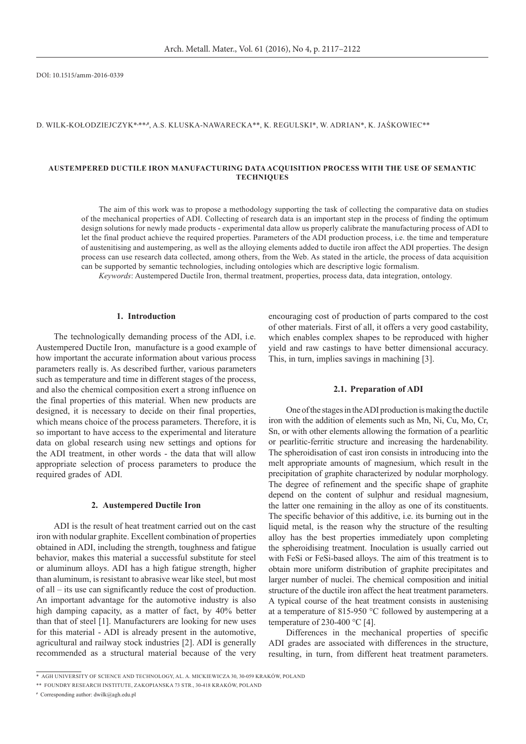DOI: 10.1515/amm-2016-0339

#### D. WILK-KOŁODZIEJCZYK\***,** \*\***,#**, a.S. KLUSKA-NAWARECKA\*\*, K. REGULSKI\*, W. ADRIAN\*, K. JAŚKOWIEC\*\*

### **Austempered Ductile Iron Manufacturing Data Acquisition Process With The Use Of Semantic Techniques**

The aim of this work was to propose a methodology supporting the task of collecting the comparative data on studies of the mechanical properties of ADI. Collecting of research data is an important step in the process of finding the optimum design solutions for newly made products - experimental data allow us properly calibrate the manufacturing process of ADI to let the final product achieve the required properties. Parameters of the ADI production process, i.e. the time and temperature of austenitising and austempering, as well as the alloying elements added to ductile iron affect the ADI properties. The design process can use research data collected, among others, from the Web. As stated in the article, the process of data acquisition can be supported by semantic technologies, including ontologies which are descriptive logic formalism.

*Keywords*: Austempered Ductile Iron, thermal treatment, properties, process data, data integration, ontology.

## **1. Introduction**

The technologically demanding process of the ADI, i.e. Austempered Ductile Iron, manufacture is a good example of how important the accurate information about various process parameters really is. As described further, various parameters such as temperature and time in different stages of the process, and also the chemical composition exert a strong influence on the final properties of this material. When new products are designed, it is necessary to decide on their final properties, which means choice of the process parameters. Therefore, it is so important to have access to the experimental and literature data on global research using new settings and options for the ADI treatment, in other words - the data that will allow appropriate selection of process parameters to produce the required grades of ADI.

#### **2. Austempered Ductile Iron**

ADI is the result of heat treatment carried out on the cast iron with nodular graphite. Excellent combination of properties obtained in ADI, including the strength, toughness and fatigue behavior, makes this material a successful substitute for steel or aluminum alloys. ADI has a high fatigue strength, higher than aluminum, is resistant to abrasive wear like steel, but most of all – its use can significantly reduce the cost of production. An important advantage for the automotive industry is also high damping capacity, as a matter of fact, by 40% better than that of steel [1]. Manufacturers are looking for new uses for this material - ADI is already present in the automotive, agricultural and railway stock industries [2]. ADI is generally recommended as a structural material because of the very encouraging cost of production of parts compared to the cost of other materials. First of all, it offers a very good castability, which enables complex shapes to be reproduced with higher yield and raw castings to have better dimensional accuracy. This, in turn, implies savings in machining [3].

#### **2.1. Preparation of ADI**

One of the stages in the ADI production is making the ductile iron with the addition of elements such as Mn, Ni, Cu, Mo, Cr, Sn, or with other elements allowing the formation of a pearlitic or pearlitic-ferritic structure and increasing the hardenability. The spheroidisation of cast iron consists in introducing into the melt appropriate amounts of magnesium, which result in the precipitation of graphite characterized by nodular morphology. The degree of refinement and the specific shape of graphite depend on the content of sulphur and residual magnesium, the latter one remaining in the alloy as one of its constituents. The specific behavior of this additive, i.e. its burning out in the liquid metal, is the reason why the structure of the resulting alloy has the best properties immediately upon completing the spheroidising treatment. Inoculation is usually carried out with FeSi or FeSi-based alloys. The aim of this treatment is to obtain more uniform distribution of graphite precipitates and larger number of nuclei. The chemical composition and initial structure of the ductile iron affect the heat treatment parameters. A typical course of the heat treatment consists in austenising at a temperature of 815-950 °C followed by austempering at a temperature of 230-400  $^{\circ}$ C [4].

Differences in the mechanical properties of specific ADI grades are associated with differences in the structure, resulting, in turn, from different heat treatment parameters.

<sup>\*</sup>AGH UNIVERSITY OF SCIENCE AND TECHNOLOGY, AL. A. MICKIEWICZA 30, 30-059 KRAKÓW, POLAND

<sup>\*\*</sup>FOUNDRY RESEARCH INSTITUTE, ZAKOPIANSKA 73 STR., 30-418 KRAKÓW, POLAND

**<sup>#</sup>** Corresponding author: dwilk@agh.edu.pl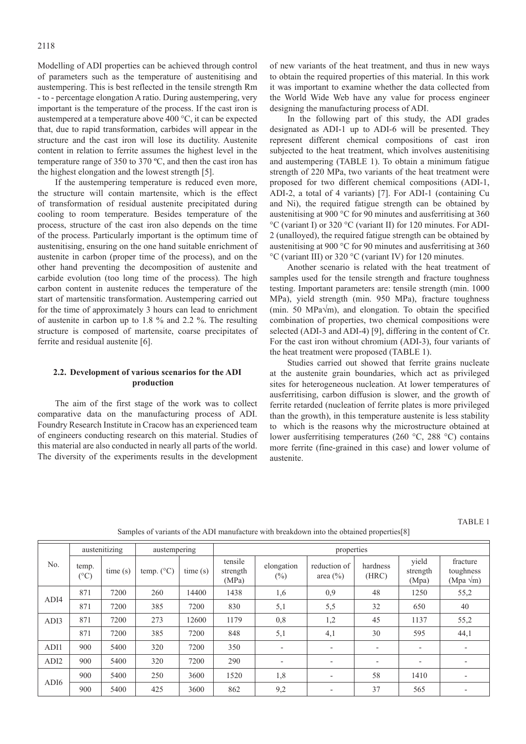Modelling of ADI properties can be achieved through control of parameters such as the temperature of austenitising and austempering. This is best reflected in the tensile strength Rm - to - percentage elongation A ratio. During austempering, very important is the temperature of the process. If the cast iron is austempered at a temperature above 400 °C, it can be expected that, due to rapid transformation, carbides will appear in the structure and the cast iron will lose its ductility. Austenite content in relation to ferrite assumes the highest level in the temperature range of 350 to 370 ºC, and then the cast iron has the highest elongation and the lowest strength [5].

If the austempering temperature is reduced even more, the structure will contain martensite, which is the effect of transformation of residual austenite precipitated during cooling to room temperature. Besides temperature of the process, structure of the cast iron also depends on the time of the process. Particularly important is the optimum time of austenitising, ensuring on the one hand suitable enrichment of austenite in carbon (proper time of the process), and on the other hand preventing the decomposition of austenite and carbide evolution (too long time of the process). The high carbon content in austenite reduces the temperature of the start of martensitic transformation. Austempering carried out for the time of approximately 3 hours can lead to enrichment of austenite in carbon up to 1.8 % and 2.2 %. The resulting structure is composed of martensite, coarse precipitates of ferrite and residual austenite [6].

# **2.2. Development of various scenarios for the ADI production**

The aim of the first stage of the work was to collect comparative data on the manufacturing process of ADI. Foundry Research Institute in Cracow has an experienced team of engineers conducting research on this material. Studies of this material are also conducted in nearly all parts of the world. The diversity of the experiments results in the development

of new variants of the heat treatment, and thus in new ways to obtain the required properties of this material. In this work it was important to examine whether the data collected from the World Wide Web have any value for process engineer designing the manufacturing process of ADI.

In the following part of this study, the ADI grades designated as ADI-1 up to ADI-6 will be presented. They represent different chemical compositions of cast iron subjected to the heat treatment, which involves austenitising and austempering (TABLE 1). To obtain a minimum fatigue strength of 220 MPa, two variants of the heat treatment were proposed for two different chemical compositions (ADI-1, ADI-2, a total of 4 variants) [7]. For ADI-1 (containing Cu and Ni), the required fatigue strength can be obtained by austenitising at 900 °C for 90 minutes and ausferritising at 360 °C (variant I) or 320 °C (variant II) for 120 minutes. For ADI-2 (unalloyed), the required fatigue strength can be obtained by austenitising at 900 °C for 90 minutes and ausferritising at 360 °C (variant III) or 320 °C (variant IV) for 120 minutes.

Another scenario is related with the heat treatment of samples used for the tensile strength and fracture toughness testing. Important parameters are: tensile strength (min. 1000 MPa), yield strength (min. 950 MPa), fracture toughness (min. 50 MPa $\sqrt{m}$ ), and elongation. To obtain the specified combination of properties, two chemical compositions were selected (ADI-3 and ADI-4) [9], differing in the content of Cr. For the cast iron without chromium (ADI-3), four variants of the heat treatment were proposed (TABLE 1).

Studies carried out showed that ferrite grains nucleate at the austenite grain boundaries, which act as privileged sites for heterogeneous nucleation. At lower temperatures of ausferritising, carbon diffusion is slower, and the growth of ferrite retarded (nucleation of ferrite plates is more privileged than the growth), in this temperature austenite is less stability to which is the reasons why the microstructure obtained at lower ausferritising temperatures (260 °C, 288 °C) contains more ferrite (fine-grained in this case) and lower volume of austenite.

|--|

|      | austenitizing |         | austempering        |         | properties                   |                          |                              |                          |                            |                                            |
|------|---------------|---------|---------------------|---------|------------------------------|--------------------------|------------------------------|--------------------------|----------------------------|--------------------------------------------|
| No.  | temp.<br>(°C) | time(s) | temp. $(^{\circ}C)$ | time(s) | tensile<br>strength<br>(MPa) | elongation<br>$(\%)$     | reduction of<br>area $(\% )$ | hardness<br>(HRC)        | yield<br>strength<br>(Mpa) | fracture<br>toughness<br>(Mpa $\sqrt{m}$ ) |
|      | 871           | 7200    | 260                 | 14400   | 1438                         | 1,6                      | 0,9                          | 48                       | 1250                       | 55,2                                       |
| ADI4 | 871           | 7200    | 385                 | 7200    | 830                          | 5,1                      | 5,5                          | 32                       | 650                        | 40                                         |
| ADI3 | 871           | 7200    | 273                 | 12600   | 1179                         | 0,8                      | 1,2                          | 45                       | 1137                       | 55,2                                       |
|      | 871           | 7200    | 385                 | 7200    | 848                          | 5,1                      | 4,1                          | 30                       | 595                        | 44,1                                       |
| ADI1 | 900           | 5400    | 320                 | 7200    | 350                          | $\overline{\phantom{a}}$ | $\overline{\phantom{a}}$     | $\overline{\phantom{a}}$ | $\overline{\phantom{0}}$   |                                            |
| ADI2 | 900           | 5400    | 320                 | 7200    | 290                          | $\overline{\phantom{a}}$ | $\overline{\phantom{a}}$     | $\overline{\phantom{0}}$ | $\overline{\phantom{0}}$   |                                            |
|      | 900           | 5400    | 250                 | 3600    | 1520                         | 1,8                      | $\overline{\phantom{a}}$     | 58                       | 1410                       |                                            |
| ADI6 | 900           | 5400    | 425                 | 3600    | 862                          | 9,2                      | $\overline{\phantom{a}}$     | 37                       | 565                        |                                            |

Samples of variants of the ADI manufacture with breakdown into the obtained properties[8]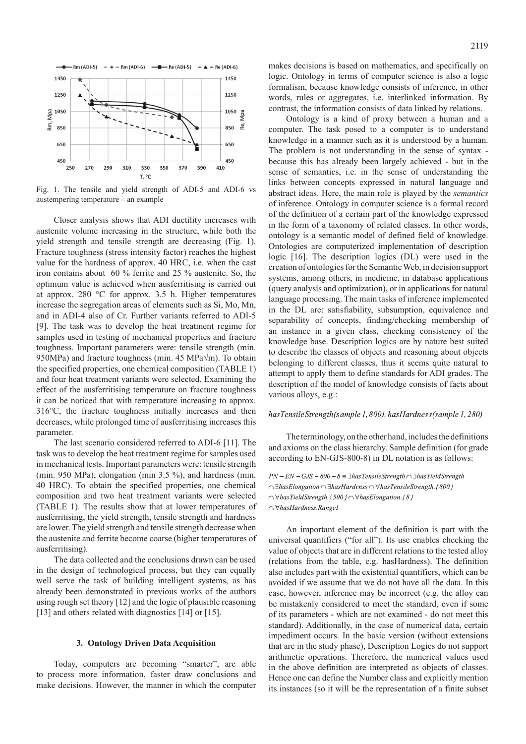

Fig. 1. The tensile and yield strength of ADI-5 and ADI-6 vs austempering temperature – an example

Closer analysis shows that ADI ductility increases with austenite volume increasing in the structure, while both the yield strength and tensile strength are decreasing (Fig. 1). Fracture toughness (stress intensity factor) reaches the highest value for the hardness of approx. 40 HRC, i.e. when the cast iron contains about 60 % ferrite and 25 % austenite. So, the optimum value is achieved when ausferritising is carried out at approx. 280 °C for approx. 3.5 h. Higher temperatures increase the segregation areas of elements such as Si, Mo, Mn, and in ADI-4 also of Cr. Further variants referred to ADI-5 [9]. The task was to develop the heat treatment regime for samples used in testing of mechanical properties and fracture toughness. Important parameters were: tensile strength (min. 950MPa) and fracture toughness (min. 45 MPa $\sqrt{m}$ ). To obtain the specified properties, one chemical composition (TABLE 1) and four heat treatment variants were selected. Examining the effect of the ausferritising temperature on fracture toughness it can be noticed that with temperature increasing to approx. 316°C, the fracture toughness initially increases and then decreases, while prolonged time of ausferritising increases this parameter.

The last scenario considered referred to ADI-6 [11]. The task was to develop the heat treatment regime for samples used in mechanical tests. Important parameters were: tensile strength (min. 950 MPa), elongation (min 3.5 %), and hardness (min. 40 HRC). To obtain the specified properties, one chemical composition and two heat treatment variants were selected (TABLE 1). The results show that at lower temperatures of ausferritising, the yield strength, tensile strength and hardness are lower. The yield strength and tensile strength decrease when the austenite and ferrite become coarse (higher temperatures of ausferritising).

The data collected and the conclusions drawn can be used in the design of technological process, but they can equally well serve the task of building intelligent systems, as has already been demonstrated in previous works of the authors using rough set theory [12] and the logic of plausible reasoning [13] and others related with diagnostics [14] or [15].

## **3. Ontology Driven Data Acquisition**

Today, computers are becoming "smarter", are able to process more information, faster draw conclusions and make decisions. However, the manner in which the computer makes decisions is based on mathematics, and specifically on logic. Ontology in terms of computer science is also a logic formalism, because knowledge consists of inference, in other words, rules or aggregates, i.e. interlinked information. By contrast, the information consists of data linked by relations.

Ontology is a kind of proxy between a human and a computer. The task posed to a computer is to understand knowledge in a manner such as it is understood by a human. The problem is not understanding in the sense of syntax because this has already been largely achieved - but in the sense of semantics, i.e. in the sense of understanding the links between concepts expressed in natural language and abstract ideas. Here, the main role is played by the *semantics* of inference. Ontology in computer science is a formal record of the definition of a certain part of the knowledge expressed in the form of a taxonomy of related classes. In other words, ontology is a semantic model of defined field of knowledge. Ontologies are computerized implementation of description logic [16]. The description logics (DL) were used in the creation of ontologies for the Semantic Web, in decision support systems, among others, in medicine, in database applications (query analysis and optimization), or in applications for natural language processing. The main tasks of inference implemented in the DL are: satisfiability, subsumption, equivalence and separability of concepts, finding/checking membership of an instance in a given class, checking consistency of the knowledge base. Description logics are by nature best suited to describe the classes of objects and reasoning about objects belonging to different classes, thus it seems quite natural to attempt to apply them to define standards for ADI grades. The description of the model of knowledge consists of facts about various alloys, e.g.:

#### hasTensileStrength(sample 1, 800), hasHardness(sample 1, 280)

The terminology, on the other hand, includes the definitions and axioms on the class hierarchy. Sample definition (for grade according to EN-GJS-800-8) in DL notation is as follows:

 $PN - EN - GJS - 800 - 8 \equiv \exists has Tensile Strength \cap \exists has Yield Strength$  $\cap$  EnasElongation  $\cap$  EnasHardenss  $\cap$   $\forall$  hasTensileStrength. {800 }  $\wedge \forall$ has YieldStrength. {500} $\wedge \forall$ has Elongation. {8}  $\cap$   $\forall$ hasHardness.Rangel

An important element of the definition is part with the universal quantifiers ("for all"). Its use enables checking the value of objects that are in different relations to the tested alloy (relations from the table, e.g. hasHardness). The definition also includes part with the existential quantifiers, which can be avoided if we assume that we do not have all the data. In this case, however, inference may be incorrect (e.g. the alloy can be mistakenly considered to meet the standard, even if some of its parameters - which are not examined - do not meet this standard). Additionally, in the case of numerical data, certain impediment occurs. In the basic version (without extensions that are in the study phase), Description Logics do not support arithmetic operations. Therefore, the numerical values used in the above definition are interpreted as objects of classes. Hence one can define the Number class and explicitly mention its instances (so it will be the representation of a finite subset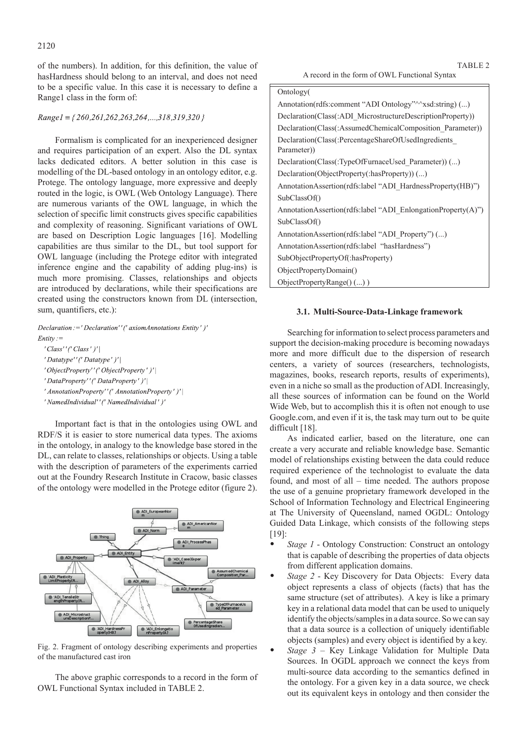of the numbers). In addition, for this definition, the value of hasHardness should belong to an interval, and does not need to be a specific value. In this case it is necessary to define a Range1 class in the form of:

 $Range1 = \{260, 261, 262, 263, 264, \ldots, 318, 319, 320\}$ 

Formalism is complicated for an inexperienced designer and requires participation of an expert. Also the DL syntax lacks dedicated editors. A better solution in this case is modelling of the DL-based ontology in an ontology editor, e.g. Protege. The ontology language, more expressive and deeply routed in the logic, is OWL (Web Ontology Language). There are numerous variants of the OWL language, in which the selection of specific limit constructs gives specific capabilities and complexity of reasoning. Significant variations of OWL are based on Description Logic languages [16]. Modelling capabilities are thus similar to the DL, but tool support for OWL language (including the Protege editor with integrated inference engine and the capability of adding plug-ins) is much more promising. Classes, relationships and objects are introduced by declarations, while their specifications are created using the constructors known from DL (intersection, sum, quantifiers, etc.):

Declaration := 'Declaration'' (' axiomAnnotations Entity')'  $Fntity :=$ 

'Class''('Class')'| 'Datatype''('Datatype')'| 'ObjectProperty''('ObjectProperty')'| 'DataProperty''('DataProperty')'| ' AnnotationProperty'' (' AnnotationProperty' )'| ' NamedIndividual'' (' NamedIndividual' )'

Important fact is that in the ontologies using OWL and RDF/S it is easier to store numerical data types. The axioms in the ontology, in analogy to the knowledge base stored in the DL, can relate to classes, relationships or objects. Using a table with the description of parameters of the experiments carried out at the Foundry Research Institute in Cracow, basic classes of the ontology were modelled in the Protege editor (figure 2).



Fig. 2. Fragment of ontology describing experiments and properties of the manufactured cast iron

The above graphic corresponds to a record in the form of OWL Functional Syntax included in TABLE 2.

TABLE 2

A record in the form of OWL Functional Syntax

Ontology(

| Annotation(rdfs:comment "ADI Ontology" <sup>^^</sup> xsd:string) () |
|---------------------------------------------------------------------|
| Declaration(Class(:ADI MicrostructureDescriptionProperty))          |
| Declaration(Class(:AssumedChemicalComposition Parameter))           |
| Declaration(Class(:PercentageShareOfUsedIngredients<br>Parameter)   |
| Declaration(Class(:TypeOfFurnaceUsed Parameter)) ()                 |
| Declaration(ObjectProperty(:hasProperty)) ()                        |
| AnnotationAssertion(rdfs:label "ADI HardnessProperty(HB)")          |
| SubClassOf()                                                        |
| AnnotationAssertion(rdfs:label "ADI EnlongationProperty(A)")        |
| SubClassOf()                                                        |
| AnnotationAssertion(rdfs:label "ADI Property") ()                   |
| AnnotationAssertion(rdfs:label "hasHardness")                       |
| SubObjectPropertyOf(:hasProperty)                                   |
| ObjectPropertyDomain()                                              |
| ObjectPropertyRange()())                                            |

#### **3.1. Multi-Source-Data-Linkage framework**

Searching for information to select process parameters and support the decision-making procedure is becoming nowadays more and more difficult due to the dispersion of research centers, a variety of sources (researchers, technologists, magazines, books, research reports, results of experiments), even in a niche so small as the production of ADI. Increasingly, all these sources of information can be found on the World Wide Web, but to accomplish this it is often not enough to use Google.com, and even if it is, the task may turn out to be quite difficult [18].

As indicated earlier, based on the literature, one can create a very accurate and reliable knowledge base. Semantic model of relationships existing between the data could reduce required experience of the technologist to evaluate the data found, and most of all – time needed. The authors propose the use of a genuine proprietary framework developed in the School of Information Technology and Electrical Engineering at The University of Queensland, named OGDL: Ontology Guided Data Linkage, which consists of the following steps [19]:

- Stage 1 Ontology Construction: Construct an ontology that is capable of describing the properties of data objects from different application domains.
- Stage 2 Key Discovery for Data Objects: Every data object represents a class of objects (facts) that has the same structure (set of attributes). A key is like a primary key in a relational data model that can be used to uniquely identify the objects/samples in a data source. So we can say that a data source is a collection of uniquely identifiable objects (samples) and every object is identified by a key.
- Stage 3 Key Linkage Validation for Multiple Data Sources. In OGDL approach we connect the keys from multi-source data according to the semantics defined in the ontology. For a given key in a data source, we check out its equivalent keys in ontology and then consider the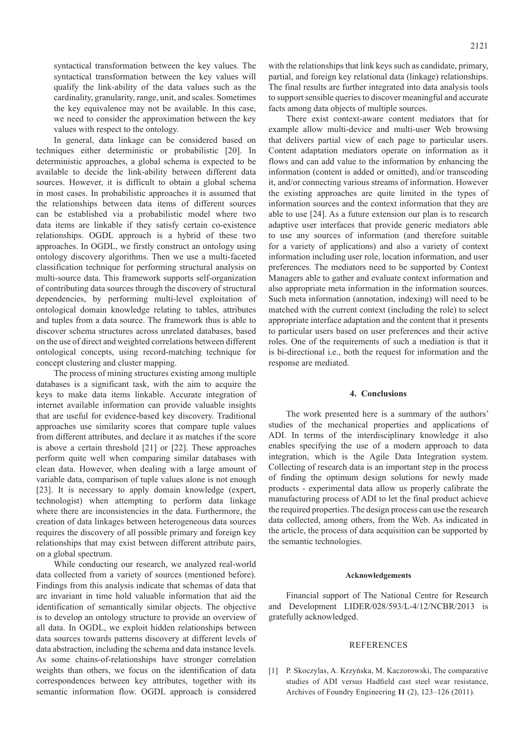syntactical transformation between the key values. The syntactical transformation between the key values will qualify the link-ability of the data values such as the cardinality, granularity, range, unit, and scales. Sometimes the key equivalence may not be available. In this case, we need to consider the approximation between the key values with respect to the ontology.

In general, data linkage can be considered based on techniques either deterministic or probabilistic [20]. In deterministic approaches, a global schema is expected to be available to decide the link-ability between different data sources. However, it is difficult to obtain a global schema in most cases. In probabilistic approaches it is assumed that the relationships between data items of different sources can be established via a probabilistic model where two data items are linkable if they satisfy certain co-existence relationships. OGDL approach is a hybrid of these two approaches. In OGDL, we firstly construct an ontology using ontology discovery algorithms. Then we use a multi-faceted classification technique for performing structural analysis on multi-source data. This framework supports self-organization of contributing data sources through the discovery of structural dependencies, by performing multi-level exploitation of ontological domain knowledge relating to tables, attributes and tuples from a data source. The framework thus is able to discover schema structures across unrelated databases, based on the use of direct and weighted correlations between different ontological concepts, using record-matching technique for concept clustering and cluster mapping.

The process of mining structures existing among multiple databases is a significant task, with the aim to acquire the keys to make data items linkable. Accurate integration of internet available information can provide valuable insights that are useful for evidence-based key discovery. Traditional approaches use similarity scores that compare tuple values from different attributes, and declare it as matches if the score is above a certain threshold [21] or [22]. These approaches perform quite well when comparing similar databases with clean data. However, when dealing with a large amount of variable data, comparison of tuple values alone is not enough [23]. It is necessary to apply domain knowledge (expert, technologist) when attempting to perform data linkage where there are inconsistencies in the data. Furthermore, the creation of data linkages between heterogeneous data sources requires the discovery of all possible primary and foreign key relationships that may exist between different attribute pairs, on a global spectrum.

While conducting our research, we analyzed real-world data collected from a variety of sources (mentioned before). Findings from this analysis indicate that schemas of data that are invariant in time hold valuable information that aid the identification of semantically similar objects. The objective is to develop an ontology structure to provide an overview of all data. In OGDL, we exploit hidden relationships between data sources towards patterns discovery at different levels of data abstraction, including the schema and data instance levels. As some chains-of-relationships have stronger correlation weights than others, we focus on the identification of data correspondences between key attributes, together with its semantic information flow. OGDL approach is considered

with the relationships that link keys such as candidate, primary, partial, and foreign key relational data (linkage) relationships. The final results are further integrated into data analysis tools to support sensible queries to discover meaningful and accurate facts among data objects of multiple sources.

There exist context-aware content mediators that for example allow multi-device and multi-user Web browsing that delivers partial view of each page to particular users. Content adaptation mediators operate on information as it flows and can add value to the information by enhancing the information (content is added or omitted), and/or transcoding it, and/or connecting various streams of information. However the existing approaches are quite limited in the types of information sources and the context information that they are able to use [24]. As a future extension our plan is to research adaptive user interfaces that provide generic mediators able to use any sources of information (and therefore suitable for a variety of applications) and also a variety of context information including user role, location information, and user preferences. The mediators need to be supported by Context Managers able to gather and evaluate context information and also appropriate meta information in the information sources. Such meta information (annotation, indexing) will need to be matched with the current context (including the role) to select appropriate interface adaptation and the content that it presents to particular users based on user preferences and their active roles. One of the requirements of such a mediation is that it is bi-directional i.e., both the request for information and the response are mediated.

# **4. Conclusions**

The work presented here is a summary of the authors' studies of the mechanical properties and applications of ADI. In terms of the interdisciplinary knowledge it also enables specifying the use of a modern approach to data integration, which is the Agile Data Integration system. Collecting of research data is an important step in the process of finding the optimum design solutions for newly made products - experimental data allow us properly calibrate the manufacturing process of ADI to let the final product achieve the required properties. The design process can use the research data collected, among others, from the Web. As indicated in the article, the process of data acquisition can be supported by the semantic technologies.

## **Acknowledgements**

Financial support of The National Centre for Research and Development LIDER/028/593/L-4/12/NCBR/2013 is gratefully acknowledged.

# **REFERENCES**

[1] P. Skoczylas, A. Krzyńska, M. Kaczorowski, The comparative studies of ADI versus Hadfield cast steel wear resistance, Archives of Foundry Engineering **11** (2), 123–126 (2011).